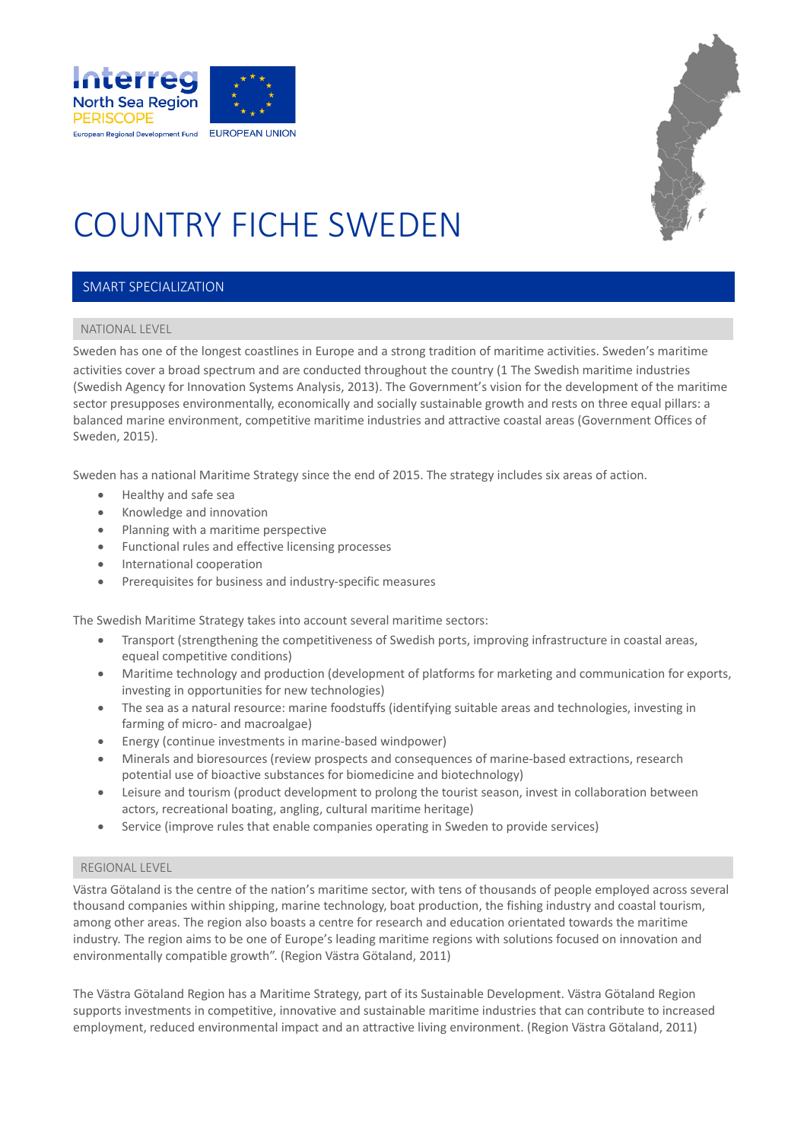



# COUNTRY FICHE SWEDEN

#### SMART SPECIALIZATION

#### NATIONAL LEVEL

Sweden has one of the longest coastlines in Europe and a strong tradition of maritime activities. Sweden's maritime activities cover a broad spectrum and are conducted throughout the country (1 The Swedish maritime industries (Swedish Agency for Innovation Systems Analysis, 2013). The Government's vision for the development of the maritime sector presupposes environmentally, economically and socially sustainable growth and rests on three equal pillars: a balanced marine environment, competitive maritime industries and attractive coastal areas (Government Offices of Sweden, 2015).

Sweden has a national Maritime Strategy since the end of 2015. The strategy includes six areas of action.

- Healthy and safe sea
- Knowledge and innovation
- Planning with a maritime perspective
- Functional rules and effective licensing processes
- International cooperation
- Prerequisites for business and industry-specific measures

The Swedish Maritime Strategy takes into account several maritime sectors:

- Transport (strengthening the competitiveness of Swedish ports, improving infrastructure in coastal areas, equeal competitive conditions)
- Maritime technology and production (development of platforms for marketing and communication for exports, investing in opportunities for new technologies)
- The sea as a natural resource: marine foodstuffs (identifying suitable areas and technologies, investing in farming of micro- and macroalgae)
- Energy (continue investments in marine-based windpower)
- Minerals and bioresources (review prospects and consequences of marine-based extractions, research potential use of bioactive substances for biomedicine and biotechnology)
- Leisure and tourism (product development to prolong the tourist season, invest in collaboration between actors, recreational boating, angling, cultural maritime heritage)
- Service (improve rules that enable companies operating in Sweden to provide services)

#### REGIONAL LEVEL

Västra Götaland is the centre of the nation's maritime sector, with tens of thousands of people employed across several thousand companies within shipping, marine technology, boat production, the fishing industry and coastal tourism, among other areas. The region also boasts a centre for research and education orientated towards the maritime industry. The region aims to be one of Europe's leading maritime regions with solutions focused on innovation and environmentally compatible growth". (Region Västra Götaland, 2011)

The Västra Götaland Region has a Maritime Strategy, part of its Sustainable Development. Västra Götaland Region supports investments in competitive, innovative and sustainable maritime industries that can contribute to increased employment, reduced environmental impact and an attractive living environment. (Region Västra Götaland, 2011)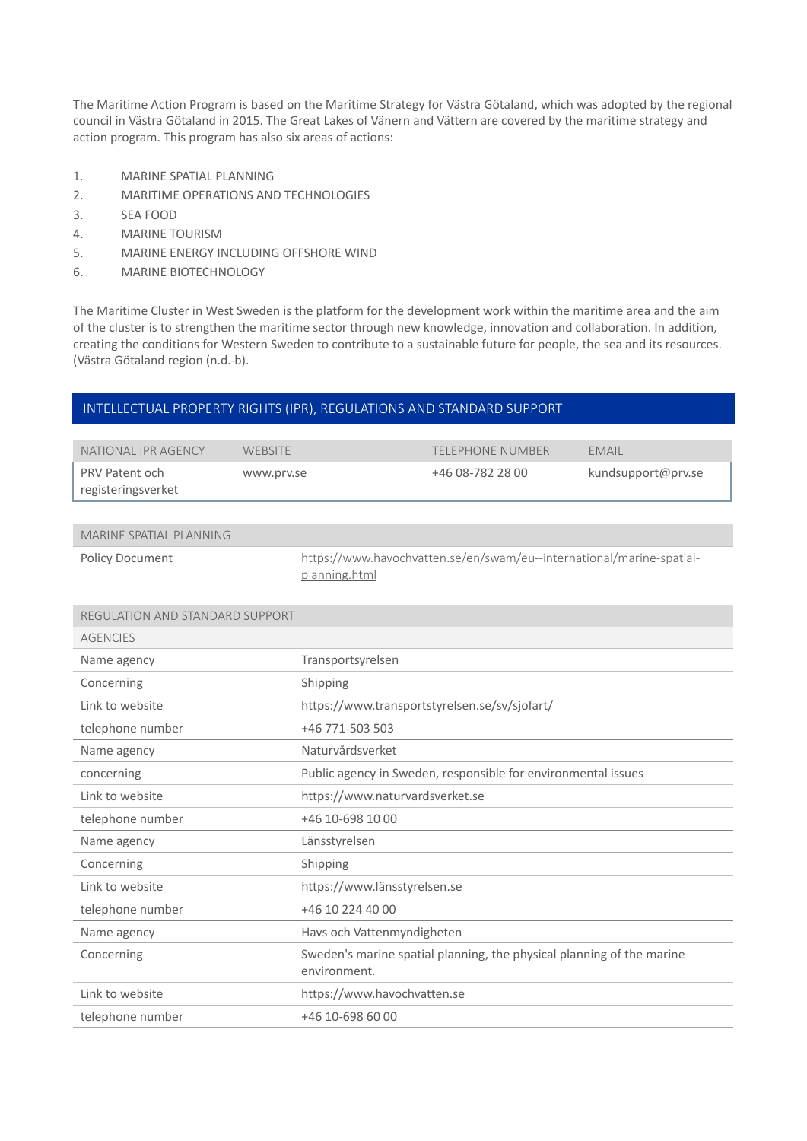The Maritime Action Program is based on the Maritime Strategy for Västra Götaland, which was adopted by the regional council in Västra Götaland in 2015. The Great Lakes of Vänern and Vättern are covered by the maritime strategy and action program. This program has also six areas of actions:

- 1. MARINE SPATIAL PLANNING
- 2. MARITIME OPERATIONS AND TECHNOLOGIES
- 3. SEA FOOD
- 4. MARINE TOURISM
- 5. MARINE ENERGY INCLUDING OFFSHORE WIND
- 6. MARINE BIOTECHNOLOGY

The Maritime Cluster in West Sweden is the platform for the development work within the maritime area and the aim of the cluster is to strengthen the maritime sector through new knowledge, innovation and collaboration. In addition, creating the conditions for Western Sweden to contribute to a sustainable future for people, the sea and its resources. (Västra Götaland region (n.d.-b).

#### INTELLECTUAL PROPERTY RIGHTS (IPR), REGULATIONS AND STANDARD SUPPORT

| NATIONAL IPR AGENCY | WEBSITE    | <b>TELEPHONE NUMBER</b> | EMAIL              |
|---------------------|------------|-------------------------|--------------------|
| PRV Patent och      | www.prv.se | +46 08-782 28 00        | kundsupport@prv.se |
| registeringsverket  |            |                         |                    |

| MARINE SPATIAL PLANNING |                                                                                        |
|-------------------------|----------------------------------------------------------------------------------------|
| Policy Document         | https://www.havochvatten.se/en/swam/eu--international/marine-spatial-<br>planning.html |

| <b>REGULATION AND STANDARD SUPPORT</b> |                                                                                       |
|----------------------------------------|---------------------------------------------------------------------------------------|
| <b>AGENCIES</b>                        |                                                                                       |
| Name agency                            | Transportsyrelsen                                                                     |
| Concerning                             | Shipping                                                                              |
| Link to website                        | https://www.transportstyrelsen.se/sv/sjofart/                                         |
| telephone number                       | +46 771-503 503                                                                       |
| Name agency                            | Naturvårdsverket                                                                      |
| concerning                             | Public agency in Sweden, responsible for environmental issues                         |
| Link to website                        | https://www.naturvardsverket.se                                                       |
| telephone number                       | +46 10-698 10 00                                                                      |
| Name agency                            | Länsstyrelsen                                                                         |
| Concerning                             | Shipping                                                                              |
| Link to website                        | https://www.länsstyrelsen.se                                                          |
| telephone number                       | +46 10 224 40 00                                                                      |
| Name agency                            | Havs och Vattenmyndigheten                                                            |
| Concerning                             | Sweden's marine spatial planning, the physical planning of the marine<br>environment. |
| Link to website                        | https://www.havochvatten.se                                                           |
| telephone number                       | +46 10-698 60 00                                                                      |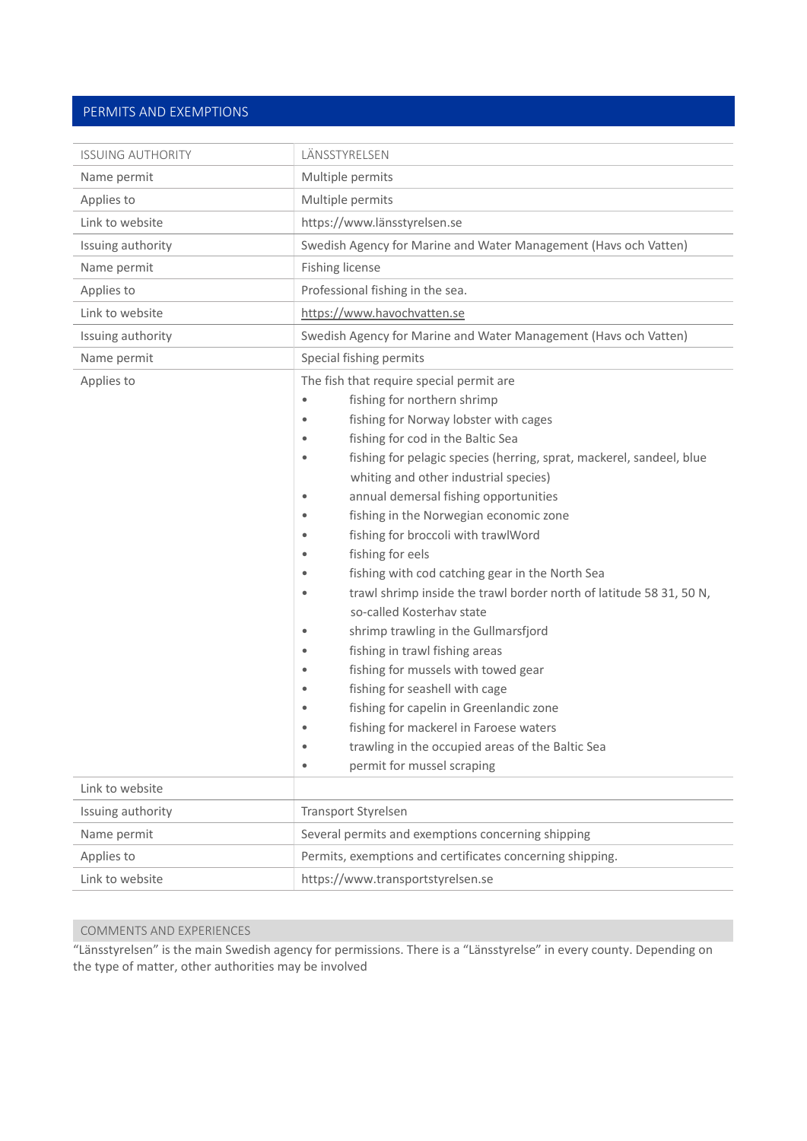### PERMITS AND EXEMPTIONS

| <b>ISSUING AUTHORITY</b> | LÄNSSTYRELSEN                                                                                                                                                                                                                                                                                                                                                                                                                                                                                                                                                                                                                                                                                                                                                                                                                                                                                                                                                             |  |
|--------------------------|---------------------------------------------------------------------------------------------------------------------------------------------------------------------------------------------------------------------------------------------------------------------------------------------------------------------------------------------------------------------------------------------------------------------------------------------------------------------------------------------------------------------------------------------------------------------------------------------------------------------------------------------------------------------------------------------------------------------------------------------------------------------------------------------------------------------------------------------------------------------------------------------------------------------------------------------------------------------------|--|
| Name permit              | Multiple permits                                                                                                                                                                                                                                                                                                                                                                                                                                                                                                                                                                                                                                                                                                                                                                                                                                                                                                                                                          |  |
| Applies to               | Multiple permits                                                                                                                                                                                                                                                                                                                                                                                                                                                                                                                                                                                                                                                                                                                                                                                                                                                                                                                                                          |  |
| Link to website          | https://www.länsstyrelsen.se                                                                                                                                                                                                                                                                                                                                                                                                                                                                                                                                                                                                                                                                                                                                                                                                                                                                                                                                              |  |
| Issuing authority        | Swedish Agency for Marine and Water Management (Havs och Vatten)                                                                                                                                                                                                                                                                                                                                                                                                                                                                                                                                                                                                                                                                                                                                                                                                                                                                                                          |  |
| Name permit              | Fishing license                                                                                                                                                                                                                                                                                                                                                                                                                                                                                                                                                                                                                                                                                                                                                                                                                                                                                                                                                           |  |
| Applies to               | Professional fishing in the sea.                                                                                                                                                                                                                                                                                                                                                                                                                                                                                                                                                                                                                                                                                                                                                                                                                                                                                                                                          |  |
| Link to website          | https://www.havochvatten.se                                                                                                                                                                                                                                                                                                                                                                                                                                                                                                                                                                                                                                                                                                                                                                                                                                                                                                                                               |  |
| Issuing authority        | Swedish Agency for Marine and Water Management (Havs och Vatten)                                                                                                                                                                                                                                                                                                                                                                                                                                                                                                                                                                                                                                                                                                                                                                                                                                                                                                          |  |
| Name permit              | Special fishing permits                                                                                                                                                                                                                                                                                                                                                                                                                                                                                                                                                                                                                                                                                                                                                                                                                                                                                                                                                   |  |
| Applies to               | The fish that require special permit are<br>fishing for northern shrimp<br>٠<br>fishing for Norway lobster with cages<br>fishing for cod in the Baltic Sea<br>fishing for pelagic species (herring, sprat, mackerel, sandeel, blue<br>۰<br>whiting and other industrial species)<br>annual demersal fishing opportunities<br>٠<br>fishing in the Norwegian economic zone<br>fishing for broccoli with trawlWord<br>٠<br>fishing for eels<br>fishing with cod catching gear in the North Sea<br>٠<br>trawl shrimp inside the trawl border north of latitude 58 31, 50 N,<br>so-called Kosterhav state<br>shrimp trawling in the Gullmarsfjord<br>$\bullet$<br>fishing in trawl fishing areas<br>٠<br>fishing for mussels with towed gear<br>٠<br>fishing for seashell with cage<br>٠<br>fishing for capelin in Greenlandic zone<br>fishing for mackerel in Faroese waters<br>٠<br>trawling in the occupied areas of the Baltic Sea<br>٠<br>permit for mussel scraping<br>٠ |  |
| Link to website          |                                                                                                                                                                                                                                                                                                                                                                                                                                                                                                                                                                                                                                                                                                                                                                                                                                                                                                                                                                           |  |
| Issuing authority        | <b>Transport Styrelsen</b>                                                                                                                                                                                                                                                                                                                                                                                                                                                                                                                                                                                                                                                                                                                                                                                                                                                                                                                                                |  |
| Name permit              | Several permits and exemptions concerning shipping                                                                                                                                                                                                                                                                                                                                                                                                                                                                                                                                                                                                                                                                                                                                                                                                                                                                                                                        |  |
| Applies to               | Permits, exemptions and certificates concerning shipping.                                                                                                                                                                                                                                                                                                                                                                                                                                                                                                                                                                                                                                                                                                                                                                                                                                                                                                                 |  |
| Link to website          | https://www.transportstyrelsen.se                                                                                                                                                                                                                                                                                                                                                                                                                                                                                                                                                                                                                                                                                                                                                                                                                                                                                                                                         |  |

### COMMENTS AND EXPERIENCES

"Länsstyrelsen" is the main Swedish agency for permissions. There is a "Länsstyrelse" in every county. Depending on the type of matter, other authorities may be involved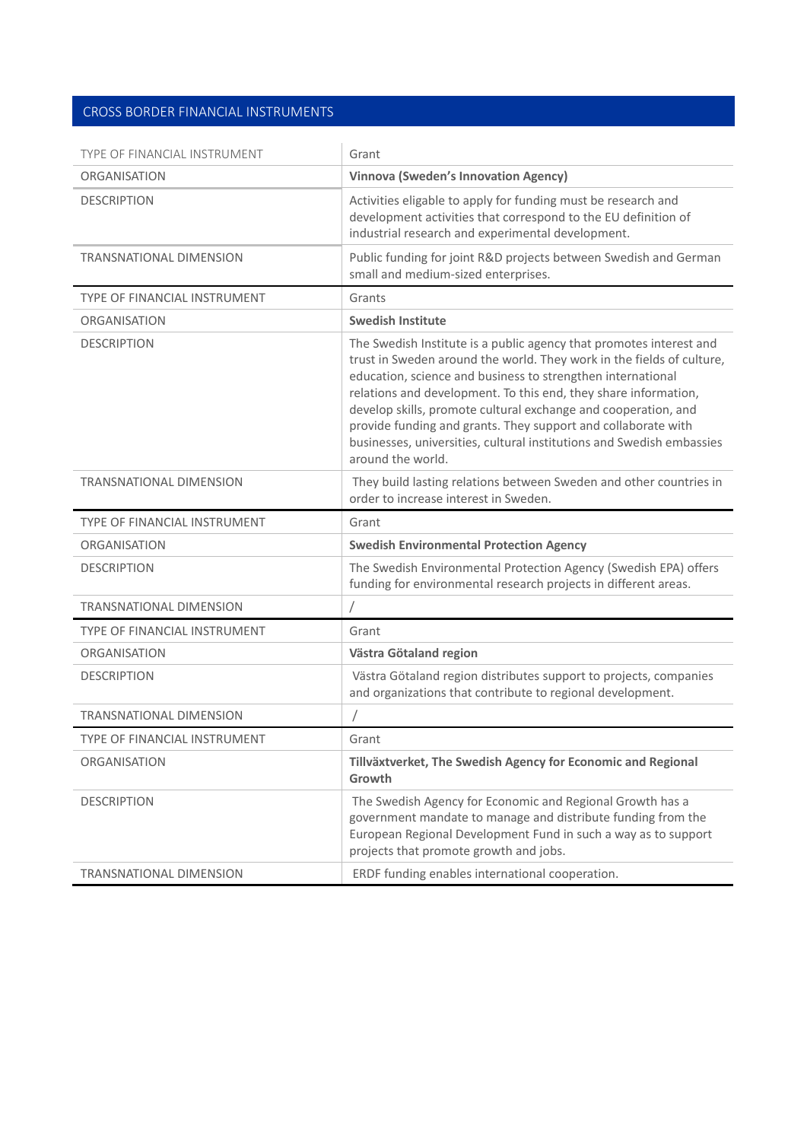### CROSS BORDER FINANCIAL INSTRUMENTS

| TYPE OF FINANCIAL INSTRUMENT        | Grant                                                                                                                                                                                                                                                                                                                                                                                                                                                                                                           |
|-------------------------------------|-----------------------------------------------------------------------------------------------------------------------------------------------------------------------------------------------------------------------------------------------------------------------------------------------------------------------------------------------------------------------------------------------------------------------------------------------------------------------------------------------------------------|
| <b>ORGANISATION</b>                 | <b>Vinnova (Sweden's Innovation Agency)</b>                                                                                                                                                                                                                                                                                                                                                                                                                                                                     |
| <b>DESCRIPTION</b>                  | Activities eligable to apply for funding must be research and<br>development activities that correspond to the EU definition of<br>industrial research and experimental development.                                                                                                                                                                                                                                                                                                                            |
| <b>TRANSNATIONAL DIMENSION</b>      | Public funding for joint R&D projects between Swedish and German<br>small and medium-sized enterprises.                                                                                                                                                                                                                                                                                                                                                                                                         |
| TYPE OF FINANCIAL INSTRUMENT        | Grants                                                                                                                                                                                                                                                                                                                                                                                                                                                                                                          |
| <b>ORGANISATION</b>                 | <b>Swedish Institute</b>                                                                                                                                                                                                                                                                                                                                                                                                                                                                                        |
| <b>DESCRIPTION</b>                  | The Swedish Institute is a public agency that promotes interest and<br>trust in Sweden around the world. They work in the fields of culture,<br>education, science and business to strengthen international<br>relations and development. To this end, they share information,<br>develop skills, promote cultural exchange and cooperation, and<br>provide funding and grants. They support and collaborate with<br>businesses, universities, cultural institutions and Swedish embassies<br>around the world. |
| <b>TRANSNATIONAL DIMENSION</b>      | They build lasting relations between Sweden and other countries in<br>order to increase interest in Sweden.                                                                                                                                                                                                                                                                                                                                                                                                     |
| <b>TYPE OF FINANCIAL INSTRUMENT</b> | Grant                                                                                                                                                                                                                                                                                                                                                                                                                                                                                                           |
| <b>ORGANISATION</b>                 | <b>Swedish Environmental Protection Agency</b>                                                                                                                                                                                                                                                                                                                                                                                                                                                                  |
| <b>DESCRIPTION</b>                  | The Swedish Environmental Protection Agency (Swedish EPA) offers<br>funding for environmental research projects in different areas.                                                                                                                                                                                                                                                                                                                                                                             |
| <b>TRANSNATIONAL DIMENSION</b>      |                                                                                                                                                                                                                                                                                                                                                                                                                                                                                                                 |
| TYPE OF FINANCIAL INSTRUMENT        | Grant                                                                                                                                                                                                                                                                                                                                                                                                                                                                                                           |
| ORGANISATION                        | Västra Götaland region                                                                                                                                                                                                                                                                                                                                                                                                                                                                                          |
| <b>DESCRIPTION</b>                  | Västra Götaland region distributes support to projects, companies<br>and organizations that contribute to regional development.                                                                                                                                                                                                                                                                                                                                                                                 |
| TRANSNATIONAL DIMENSION             |                                                                                                                                                                                                                                                                                                                                                                                                                                                                                                                 |
| <b>TYPE OF FINANCIAL INSTRUMENT</b> | Grant                                                                                                                                                                                                                                                                                                                                                                                                                                                                                                           |
| <b>ORGANISATION</b>                 | Tillväxtverket, The Swedish Agency for Economic and Regional<br>Growth                                                                                                                                                                                                                                                                                                                                                                                                                                          |
| <b>DESCRIPTION</b>                  | The Swedish Agency for Economic and Regional Growth has a<br>government mandate to manage and distribute funding from the<br>European Regional Development Fund in such a way as to support<br>projects that promote growth and jobs.                                                                                                                                                                                                                                                                           |
| <b>TRANSNATIONAL DIMENSION</b>      | ERDF funding enables international cooperation.                                                                                                                                                                                                                                                                                                                                                                                                                                                                 |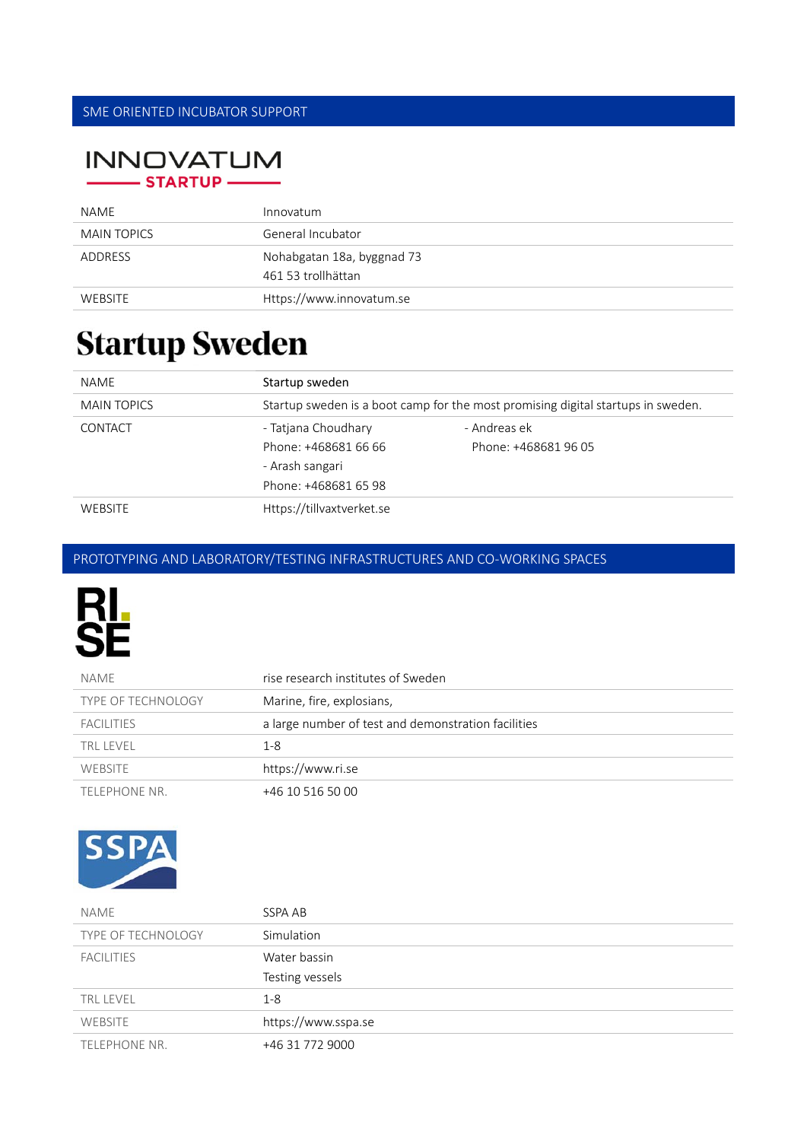# **INNOVATUM** STARTUP —

| NAME               | Innovatum                                        |
|--------------------|--------------------------------------------------|
| <b>MAIN TOPICS</b> | General Incubator                                |
| ADDRESS            | Nohabgatan 18a, byggnad 73<br>461 53 trollhättan |
| <b>WEBSITE</b>     | Https://www.innovatum.se                         |

# **Startup Sweden**

| NAME               | Startup sweden            |                                                                                  |
|--------------------|---------------------------|----------------------------------------------------------------------------------|
| <b>MAIN TOPICS</b> |                           | Startup sweden is a boot camp for the most promising digital startups in sweden. |
| CONTACT            | - Tatjana Choudhary       | - Andreas ek                                                                     |
|                    | Phone: +468681 66 66      | Phone: +468681 96 05                                                             |
|                    | - Arash sangari           |                                                                                  |
|                    | Phone: +468681 65 98      |                                                                                  |
| <b>WEBSITE</b>     | Https://tillvaxtverket.se |                                                                                  |

# PROTOTYPING AND LABORATORY/TESTING INFRASTRUCTURES AND CO‐WORKING SPACES



| NAME                      | rise research institutes of Sweden                  |
|---------------------------|-----------------------------------------------------|
| <b>TYPE OF TECHNOLOGY</b> | Marine, fire, explosians,                           |
| <b>FACILITIES</b>         | a large number of test and demonstration facilities |
| <b>TRL LEVEL</b>          | $1 - 8$                                             |
| <b>WEBSITE</b>            | https://www.ri.se                                   |
| TELEPHONE NR.             | +46 10 516 50 00                                    |



| NAME               | SSPA AB             |
|--------------------|---------------------|
| TYPE OF TECHNOLOGY | Simulation          |
| <b>FACILITIES</b>  | Water bassin        |
|                    | Testing vessels     |
| <b>TRL LEVEL</b>   | $1 - 8$             |
| <b>WEBSITE</b>     | https://www.sspa.se |
| TELEPHONE NR.      | +46 31 772 9000     |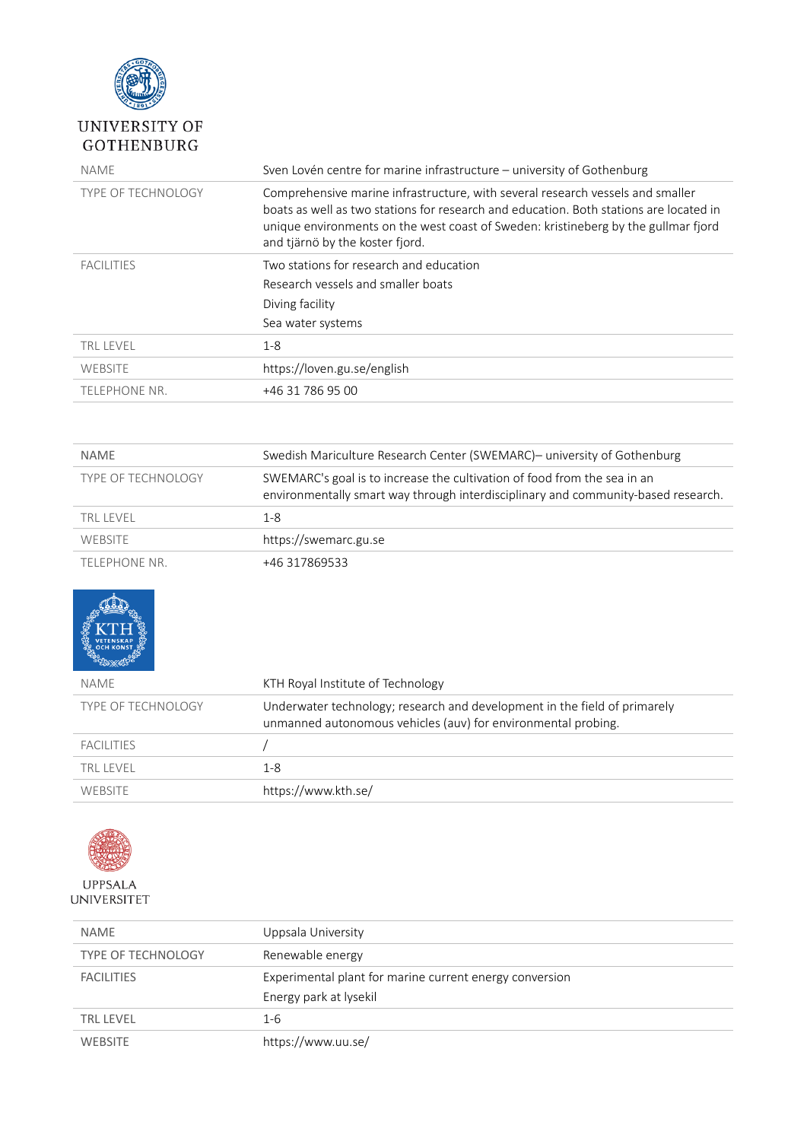

## UNIVERSITY OF **GOTHENBURG**

| <b>NAME</b>               | Sven Lovén centre for marine infrastructure – university of Gothenburg                                                                                                                                                                                                                            |
|---------------------------|---------------------------------------------------------------------------------------------------------------------------------------------------------------------------------------------------------------------------------------------------------------------------------------------------|
| <b>TYPE OF TECHNOLOGY</b> | Comprehensive marine infrastructure, with several research vessels and smaller<br>boats as well as two stations for research and education. Both stations are located in<br>unique environments on the west coast of Sweden: kristineberg by the gullmar fjord<br>and tjärnö by the koster fjord. |
| <b>FACILITIES</b>         | Two stations for research and education<br>Research vessels and smaller boats<br>Diving facility<br>Sea water systems                                                                                                                                                                             |
| <b>TRL LEVEL</b>          | $1 - 8$                                                                                                                                                                                                                                                                                           |
| WEBSITE                   | https://loven.gu.se/english                                                                                                                                                                                                                                                                       |
| <b>TELEPHONE NR.</b>      | +46 31 786 95 00                                                                                                                                                                                                                                                                                  |

| <b>NAME</b>               | Swedish Mariculture Research Center (SWEMARC)- university of Gothenburg                                                                                       |
|---------------------------|---------------------------------------------------------------------------------------------------------------------------------------------------------------|
| <b>TYPE OF TECHNOLOGY</b> | SWEMARC's goal is to increase the cultivation of food from the sea in an<br>environmentally smart way through interdisciplinary and community-based research. |
| TRI I FVFI                | 1-8                                                                                                                                                           |
| <b>WEBSITE</b>            | https://swemarc.gu.se                                                                                                                                         |
| TELEPHONE NR              | +46 317869533                                                                                                                                                 |



| <u>actr<sup>7</sup>Mngo e</u> |                                                                                                                                            |
|-------------------------------|--------------------------------------------------------------------------------------------------------------------------------------------|
| NAME                          | KTH Royal Institute of Technology                                                                                                          |
| <b>TYPE OF TECHNOLOGY</b>     | Underwater technology; research and development in the field of primarely<br>unmanned autonomous vehicles (auv) for environmental probing. |
| <b>FACILITIES</b>             |                                                                                                                                            |
| <b>TRL LEVEL</b>              | 1-8                                                                                                                                        |
| WEBSITE                       | https://www.kth.se/                                                                                                                        |
|                               |                                                                                                                                            |



| <b>NAME</b>        | Uppsala University                                      |
|--------------------|---------------------------------------------------------|
| TYPE OF TECHNOLOGY | Renewable energy                                        |
| <b>FACILITIES</b>  | Experimental plant for marine current energy conversion |
|                    | Energy park at lysekil                                  |
| <b>TRL LEVEL</b>   | 1-6                                                     |
| <b>WEBSITE</b>     | https://www.uu.se/                                      |